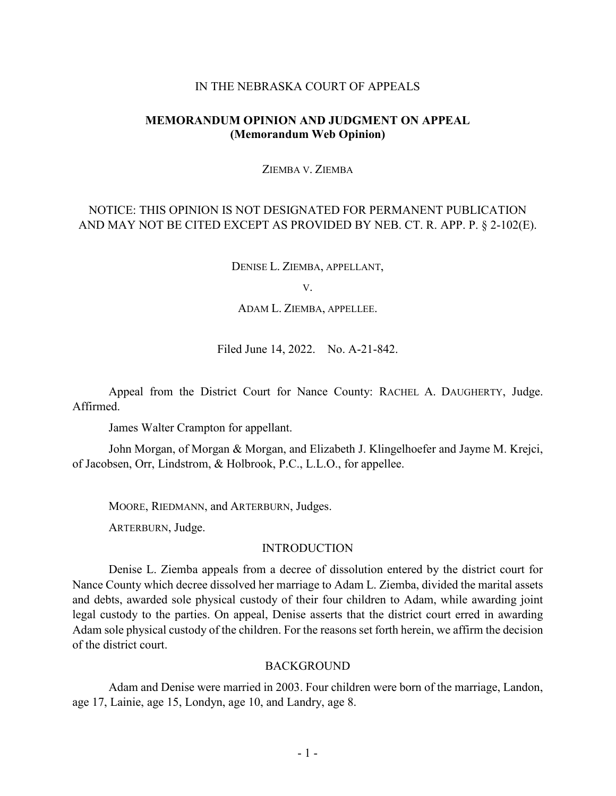## IN THE NEBRASKA COURT OF APPEALS

# **MEMORANDUM OPINION AND JUDGMENT ON APPEAL (Memorandum Web Opinion)**

ZIEMBA V. ZIEMBA

# NOTICE: THIS OPINION IS NOT DESIGNATED FOR PERMANENT PUBLICATION AND MAY NOT BE CITED EXCEPT AS PROVIDED BY NEB. CT. R. APP. P. § 2-102(E).

DENISE L. ZIEMBA, APPELLANT,

V.

ADAM L. ZIEMBA, APPELLEE.

Filed June 14, 2022. No. A-21-842.

Appeal from the District Court for Nance County: RACHEL A. DAUGHERTY, Judge. Affirmed.

James Walter Crampton for appellant.

John Morgan, of Morgan & Morgan, and Elizabeth J. Klingelhoefer and Jayme M. Krejci, of Jacobsen, Orr, Lindstrom, & Holbrook, P.C., L.L.O., for appellee.

MOORE, RIEDMANN, and ARTERBURN, Judges.

ARTERBURN, Judge.

# **INTRODUCTION**

Denise L. Ziemba appeals from a decree of dissolution entered by the district court for Nance County which decree dissolved her marriage to Adam L. Ziemba, divided the marital assets and debts, awarded sole physical custody of their four children to Adam, while awarding joint legal custody to the parties. On appeal, Denise asserts that the district court erred in awarding Adam sole physical custody of the children. For the reasons set forth herein, we affirm the decision of the district court.

#### **BACKGROUND**

Adam and Denise were married in 2003. Four children were born of the marriage, Landon, age 17, Lainie, age 15, Londyn, age 10, and Landry, age 8.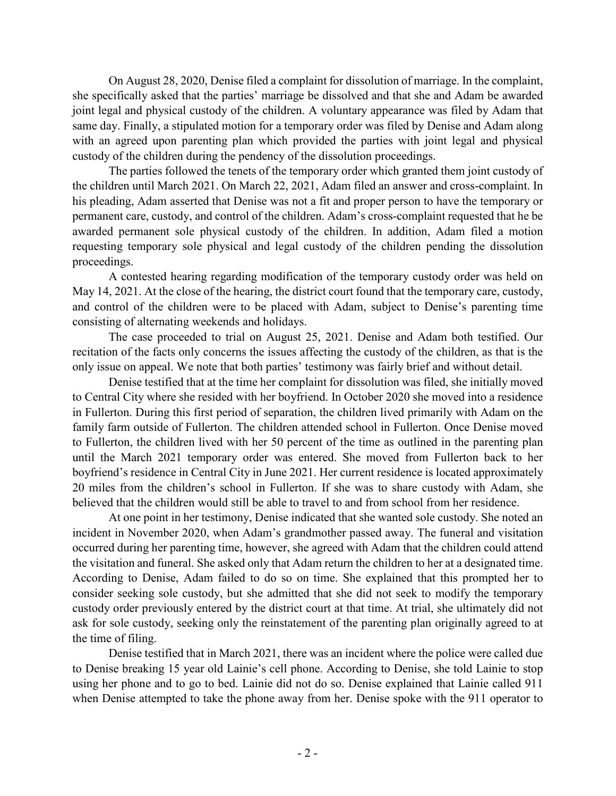On August 28, 2020, Denise filed a complaint for dissolution of marriage. In the complaint, she specifically asked that the parties' marriage be dissolved and that she and Adam be awarded joint legal and physical custody of the children. A voluntary appearance was filed by Adam that same day. Finally, a stipulated motion for a temporary order was filed by Denise and Adam along with an agreed upon parenting plan which provided the parties with joint legal and physical custody of the children during the pendency of the dissolution proceedings.

The parties followed the tenets of the temporary order which granted them joint custody of the children until March 2021. On March 22, 2021, Adam filed an answer and cross-complaint. In his pleading, Adam asserted that Denise was not a fit and proper person to have the temporary or permanent care, custody, and control of the children. Adam's cross-complaint requested that he be awarded permanent sole physical custody of the children. In addition, Adam filed a motion requesting temporary sole physical and legal custody of the children pending the dissolution proceedings.

A contested hearing regarding modification of the temporary custody order was held on May 14, 2021. At the close of the hearing, the district court found that the temporary care, custody, and control of the children were to be placed with Adam, subject to Denise's parenting time consisting of alternating weekends and holidays.

The case proceeded to trial on August 25, 2021. Denise and Adam both testified. Our recitation of the facts only concerns the issues affecting the custody of the children, as that is the only issue on appeal. We note that both parties' testimony was fairly brief and without detail.

Denise testified that at the time her complaint for dissolution was filed, she initially moved to Central City where she resided with her boyfriend. In October 2020 she moved into a residence in Fullerton. During this first period of separation, the children lived primarily with Adam on the family farm outside of Fullerton. The children attended school in Fullerton. Once Denise moved to Fullerton, the children lived with her 50 percent of the time as outlined in the parenting plan until the March 2021 temporary order was entered. She moved from Fullerton back to her boyfriend's residence in Central City in June 2021. Her current residence is located approximately 20 miles from the children's school in Fullerton. If she was to share custody with Adam, she believed that the children would still be able to travel to and from school from her residence.

At one point in her testimony, Denise indicated that she wanted sole custody. She noted an incident in November 2020, when Adam's grandmother passed away. The funeral and visitation occurred during her parenting time, however, she agreed with Adam that the children could attend the visitation and funeral. She asked only that Adam return the children to her at a designated time. According to Denise, Adam failed to do so on time. She explained that this prompted her to consider seeking sole custody, but she admitted that she did not seek to modify the temporary custody order previously entered by the district court at that time. At trial, she ultimately did not ask for sole custody, seeking only the reinstatement of the parenting plan originally agreed to at the time of filing.

Denise testified that in March 2021, there was an incident where the police were called due to Denise breaking 15 year old Lainie's cell phone. According to Denise, she told Lainie to stop using her phone and to go to bed. Lainie did not do so. Denise explained that Lainie called 911 when Denise attempted to take the phone away from her. Denise spoke with the 911 operator to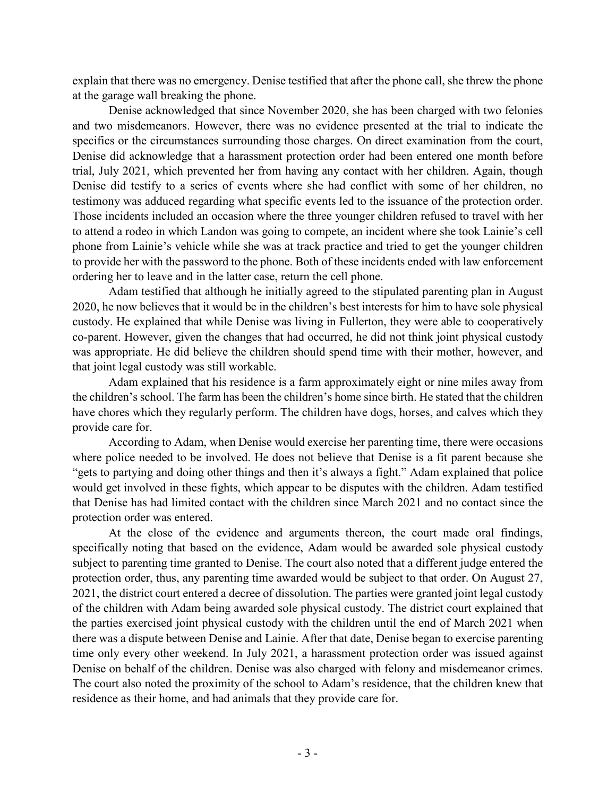explain that there was no emergency. Denise testified that after the phone call, she threw the phone at the garage wall breaking the phone.

Denise acknowledged that since November 2020, she has been charged with two felonies and two misdemeanors. However, there was no evidence presented at the trial to indicate the specifics or the circumstances surrounding those charges. On direct examination from the court, Denise did acknowledge that a harassment protection order had been entered one month before trial, July 2021, which prevented her from having any contact with her children. Again, though Denise did testify to a series of events where she had conflict with some of her children, no testimony was adduced regarding what specific events led to the issuance of the protection order. Those incidents included an occasion where the three younger children refused to travel with her to attend a rodeo in which Landon was going to compete, an incident where she took Lainie's cell phone from Lainie's vehicle while she was at track practice and tried to get the younger children to provide her with the password to the phone. Both of these incidents ended with law enforcement ordering her to leave and in the latter case, return the cell phone.

Adam testified that although he initially agreed to the stipulated parenting plan in August 2020, he now believes that it would be in the children's best interests for him to have sole physical custody. He explained that while Denise was living in Fullerton, they were able to cooperatively co-parent. However, given the changes that had occurred, he did not think joint physical custody was appropriate. He did believe the children should spend time with their mother, however, and that joint legal custody was still workable.

Adam explained that his residence is a farm approximately eight or nine miles away from the children's school. The farm has been the children's home since birth. He stated that the children have chores which they regularly perform. The children have dogs, horses, and calves which they provide care for.

According to Adam, when Denise would exercise her parenting time, there were occasions where police needed to be involved. He does not believe that Denise is a fit parent because she "gets to partying and doing other things and then it's always a fight." Adam explained that police would get involved in these fights, which appear to be disputes with the children. Adam testified that Denise has had limited contact with the children since March 2021 and no contact since the protection order was entered.

At the close of the evidence and arguments thereon, the court made oral findings, specifically noting that based on the evidence, Adam would be awarded sole physical custody subject to parenting time granted to Denise. The court also noted that a different judge entered the protection order, thus, any parenting time awarded would be subject to that order. On August 27, 2021, the district court entered a decree of dissolution. The parties were granted joint legal custody of the children with Adam being awarded sole physical custody. The district court explained that the parties exercised joint physical custody with the children until the end of March 2021 when there was a dispute between Denise and Lainie. After that date, Denise began to exercise parenting time only every other weekend. In July 2021, a harassment protection order was issued against Denise on behalf of the children. Denise was also charged with felony and misdemeanor crimes. The court also noted the proximity of the school to Adam's residence, that the children knew that residence as their home, and had animals that they provide care for.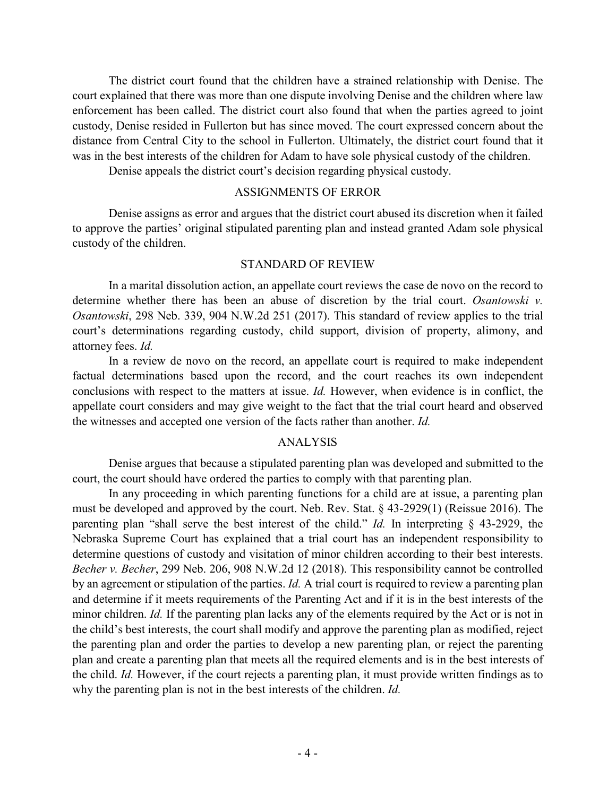The district court found that the children have a strained relationship with Denise. The court explained that there was more than one dispute involving Denise and the children where law enforcement has been called. The district court also found that when the parties agreed to joint custody, Denise resided in Fullerton but has since moved. The court expressed concern about the distance from Central City to the school in Fullerton. Ultimately, the district court found that it was in the best interests of the children for Adam to have sole physical custody of the children.

Denise appeals the district court's decision regarding physical custody.

## ASSIGNMENTS OF ERROR

Denise assigns as error and argues that the district court abused its discretion when it failed to approve the parties' original stipulated parenting plan and instead granted Adam sole physical custody of the children.

## STANDARD OF REVIEW

In a marital dissolution action, an appellate court reviews the case de novo on the record to determine whether there has been an abuse of discretion by the trial court. *Osantowski v. Osantowski*, 298 Neb. 339, 904 N.W.2d 251 (2017). This standard of review applies to the trial court's determinations regarding custody, child support, division of property, alimony, and attorney fees. *Id.*

In a review de novo on the record, an appellate court is required to make independent factual determinations based upon the record, and the court reaches its own independent conclusions with respect to the matters at issue. *Id.* However, when evidence is in conflict, the appellate court considers and may give weight to the fact that the trial court heard and observed the witnesses and accepted one version of the facts rather than another. *Id.*

# ANALYSIS

Denise argues that because a stipulated parenting plan was developed and submitted to the court, the court should have ordered the parties to comply with that parenting plan.

In any proceeding in which parenting functions for a child are at issue, a parenting plan must be developed and approved by the court. Neb. Rev. Stat. § 43-2929(1) (Reissue 2016). The parenting plan "shall serve the best interest of the child." *Id.* In interpreting § 43-2929, the Nebraska Supreme Court has explained that a trial court has an independent responsibility to determine questions of custody and visitation of minor children according to their best interests. *Becher v. Becher*, 299 Neb. 206, 908 N.W.2d 12 (2018). This responsibility cannot be controlled by an agreement or stipulation of the parties. *Id.* A trial court is required to review a parenting plan and determine if it meets requirements of the Parenting Act and if it is in the best interests of the minor children. *Id.* If the parenting plan lacks any of the elements required by the Act or is not in the child's best interests, the court shall modify and approve the parenting plan as modified, reject the parenting plan and order the parties to develop a new parenting plan, or reject the parenting plan and create a parenting plan that meets all the required elements and is in the best interests of the child. *Id.* However, if the court rejects a parenting plan, it must provide written findings as to why the parenting plan is not in the best interests of the children. *Id.*